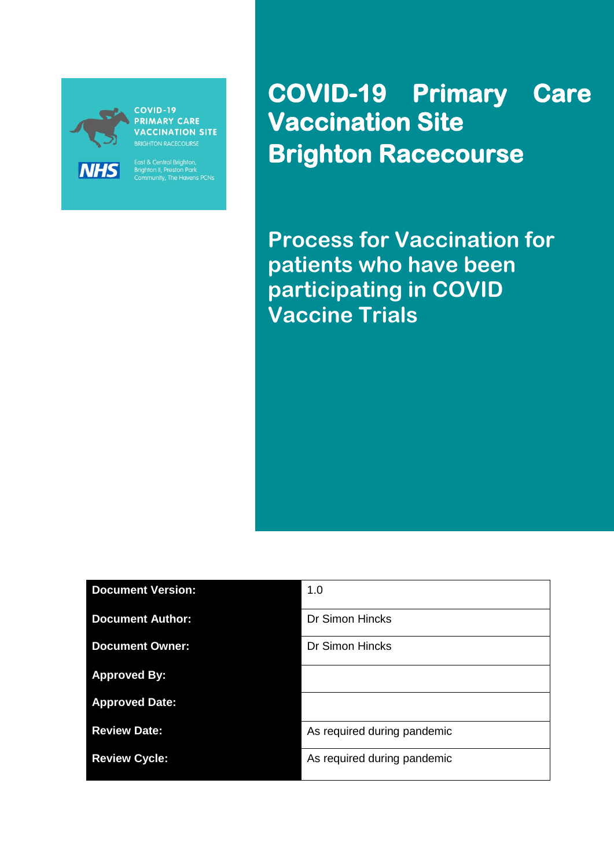

**COVID-19 PRIMARY CARE VACCINATION SITE BRIGHTON RACECOURSE** 

East & Central Brighton,<br>Brighton II, Preston Park<br>Community, The Havens PCNs

**COVID-19 Primary Care Vaccination Site Brighton Racecourse** 

**Process for Vaccination for patients who have been participating in COVID Vaccine Trials**

٦

| <b>Document Version:</b> | 1.0                         |
|--------------------------|-----------------------------|
| <b>Document Author:</b>  | <b>Dr Simon Hincks</b>      |
| <b>Document Owner:</b>   | <b>Dr Simon Hincks</b>      |
| <b>Approved By:</b>      |                             |
| <b>Approved Date:</b>    |                             |
| <b>Review Date:</b>      | As required during pandemic |
| <b>Review Cycle:</b>     | As required during pandemic |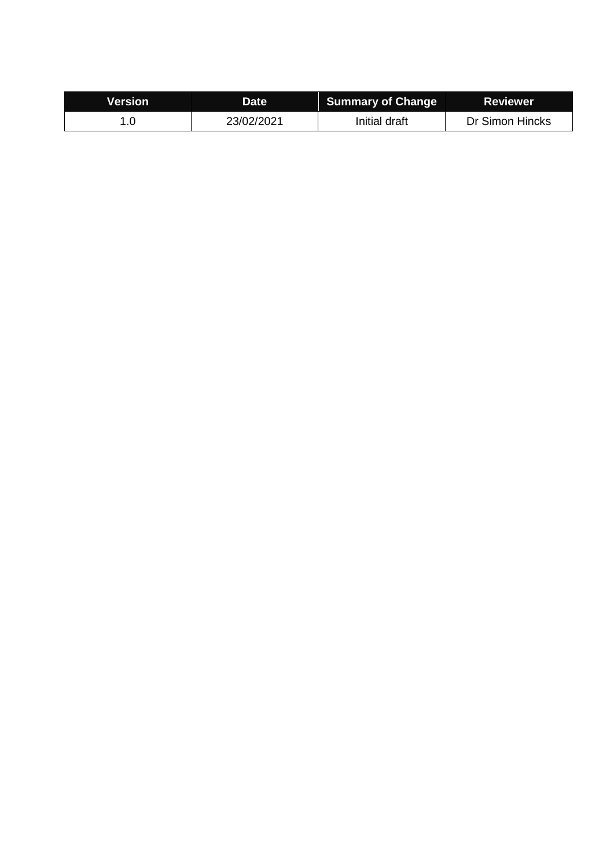| Version | Date       | <b>Summary of Change</b> | Reviewer        |
|---------|------------|--------------------------|-----------------|
|         | 23/02/2021 | Initial draft            | Dr Simon Hincks |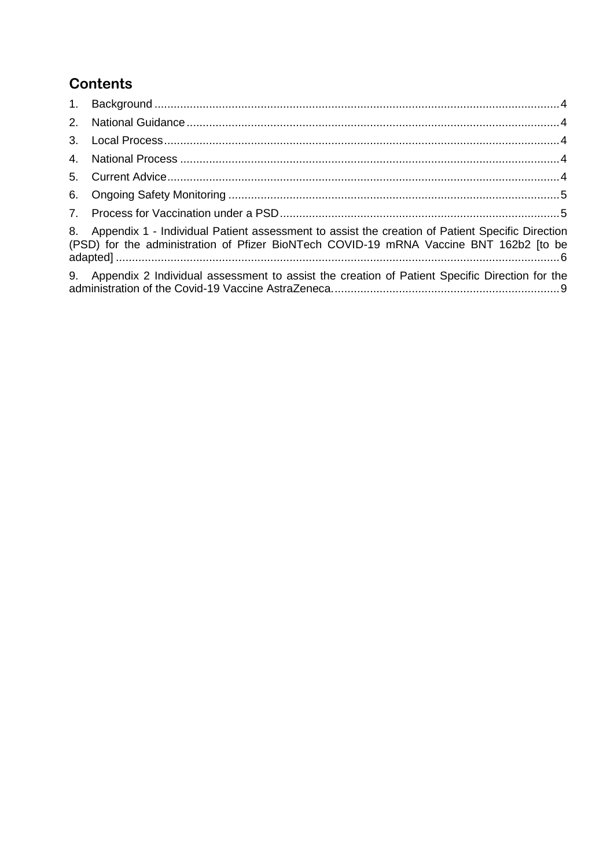# **Contents**

| 8. Appendix 1 - Individual Patient assessment to assist the creation of Patient Specific Direction<br>(PSD) for the administration of Pfizer BioNTech COVID-19 mRNA Vaccine BNT 162b2 [to be |  |
|----------------------------------------------------------------------------------------------------------------------------------------------------------------------------------------------|--|
| 9. Appendix 2 Individual assessment to assist the creation of Patient Specific Direction for the                                                                                             |  |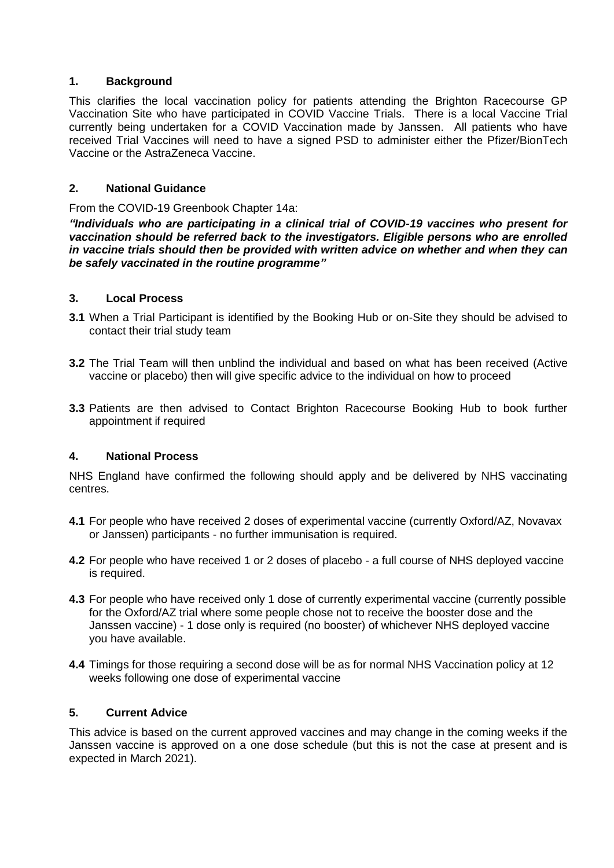### <span id="page-3-0"></span>**1. Background**

This clarifies the local vaccination policy for patients attending the Brighton Racecourse GP Vaccination Site who have participated in COVID Vaccine Trials. There is a local Vaccine Trial currently being undertaken for a COVID Vaccination made by Janssen. All patients who have received Trial Vaccines will need to have a signed PSD to administer either the Pfizer/BionTech Vaccine or the AstraZeneca Vaccine.

### <span id="page-3-1"></span>**2. National Guidance**

From the COVID-19 Greenbook Chapter 14a:

*"Individuals who are participating in a clinical trial of COVID-19 vaccines who present for vaccination should be referred back to the investigators. Eligible persons who are enrolled in vaccine trials should then be provided with written advice on whether and when they can be safely vaccinated in the routine programme"*

#### <span id="page-3-2"></span>**3. Local Process**

- **3.1** When a Trial Participant is identified by the Booking Hub or on-Site they should be advised to contact their trial study team
- **3.2** The Trial Team will then unblind the individual and based on what has been received (Active vaccine or placebo) then will give specific advice to the individual on how to proceed
- **3.3** Patients are then advised to Contact Brighton Racecourse Booking Hub to book further appointment if required

### <span id="page-3-3"></span>**4. National Process**

NHS England have confirmed the following should apply and be delivered by NHS vaccinating centres.

- **4.1** For people who have received 2 doses of experimental vaccine (currently Oxford/AZ, Novavax or Janssen) participants - no further immunisation is required.
- **4.2** For people who have received 1 or 2 doses of placebo a full course of NHS deployed vaccine is required.
- **4.3** For people who have received only 1 dose of currently experimental vaccine (currently possible for the Oxford/AZ trial where some people chose not to receive the booster dose and the Janssen vaccine) - 1 dose only is required (no booster) of whichever NHS deployed vaccine you have available.
- **4.4** Timings for those requiring a second dose will be as for normal NHS Vaccination policy at 12 weeks following one dose of experimental vaccine

#### <span id="page-3-4"></span>**5. Current Advice**

This advice is based on the current approved vaccines and may change in the coming weeks if the Janssen vaccine is approved on a one dose schedule (but this is not the case at present and is expected in March 2021).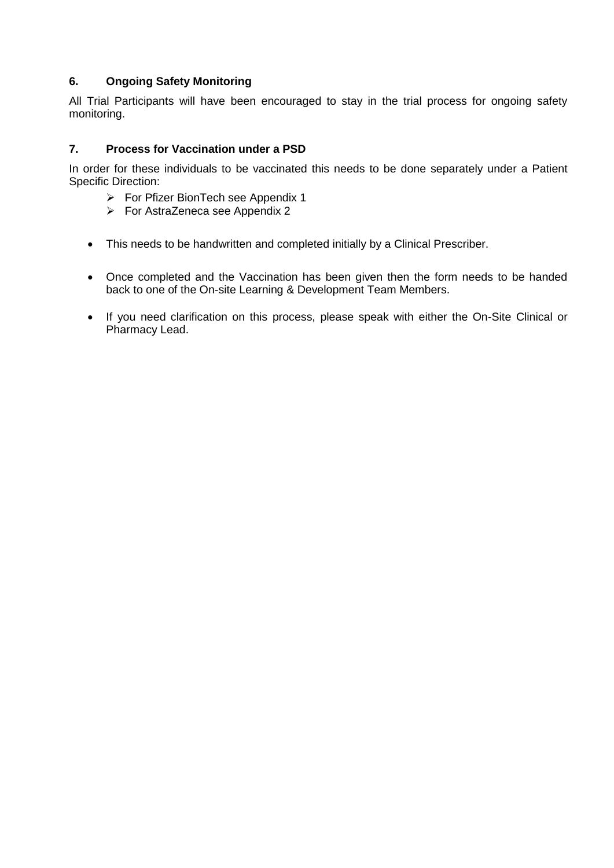# <span id="page-4-0"></span>**6. Ongoing Safety Monitoring**

All Trial Participants will have been encouraged to stay in the trial process for ongoing safety monitoring.

### <span id="page-4-1"></span>**7. Process for Vaccination under a PSD**

In order for these individuals to be vaccinated this needs to be done separately under a Patient Specific Direction:

- ▶ For Pfizer BionTech see Appendix 1
- $\triangleright$  For AstraZeneca see Appendix 2
- This needs to be handwritten and completed initially by a Clinical Prescriber.
- Once completed and the Vaccination has been given then the form needs to be handed back to one of the On-site Learning & Development Team Members.
- If you need clarification on this process, please speak with either the On-Site Clinical or Pharmacy Lead.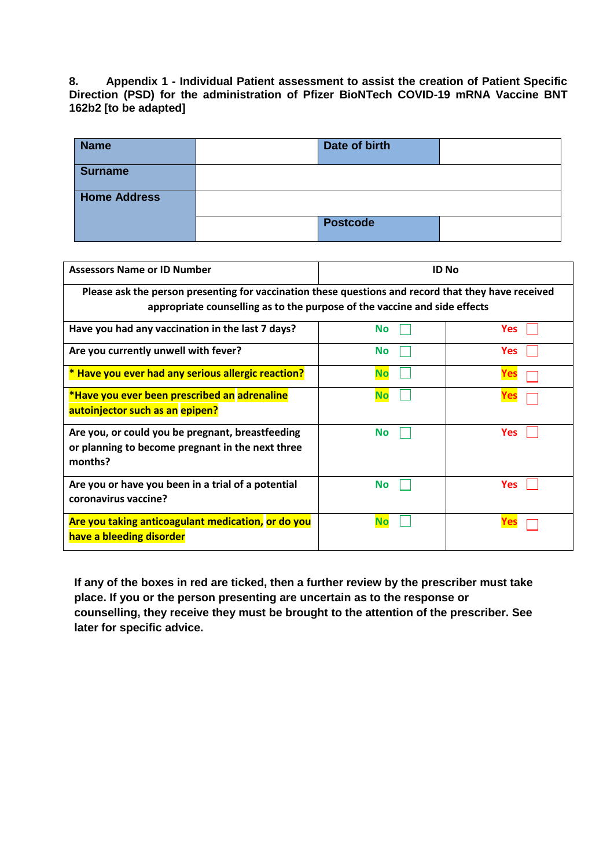<span id="page-5-0"></span>**8. Appendix 1 - Individual Patient assessment to assist the creation of Patient Specific Direction (PSD) for the administration of Pfizer BioNTech COVID-19 mRNA Vaccine BNT 162b2 [to be adapted]**

| <b>Name</b>         | Date of birth   |  |
|---------------------|-----------------|--|
| <b>Surname</b>      |                 |  |
| <b>Home Address</b> |                 |  |
|                     | <b>Postcode</b> |  |

| <b>Assessors Name or ID Number</b>                                                                              | <b>ID No</b>                                                                                                                                                                     |            |  |  |  |  |
|-----------------------------------------------------------------------------------------------------------------|----------------------------------------------------------------------------------------------------------------------------------------------------------------------------------|------------|--|--|--|--|
|                                                                                                                 | Please ask the person presenting for vaccination these questions and record that they have received<br>appropriate counselling as to the purpose of the vaccine and side effects |            |  |  |  |  |
| Have you had any vaccination in the last 7 days?                                                                | <b>No</b>                                                                                                                                                                        | <b>Yes</b> |  |  |  |  |
| Are you currently unwell with fever?                                                                            | <b>No</b>                                                                                                                                                                        | <b>Yes</b> |  |  |  |  |
| * Have you ever had any serious allergic reaction?                                                              | <b>No</b>                                                                                                                                                                        | Yes        |  |  |  |  |
| *Have you ever been prescribed an adrenaline<br>autoinjector such as an epipen?                                 | <b>No</b>                                                                                                                                                                        | Yes        |  |  |  |  |
| Are you, or could you be pregnant, breastfeeding<br>or planning to become pregnant in the next three<br>months? | <b>No</b>                                                                                                                                                                        | <b>Yes</b> |  |  |  |  |
| Are you or have you been in a trial of a potential<br>coronavirus vaccine?                                      | <b>No</b>                                                                                                                                                                        | <b>Yes</b> |  |  |  |  |
| Are you taking anticoagulant medication, or do you<br>have a bleeding disorder                                  | No                                                                                                                                                                               | res        |  |  |  |  |

**If any of the boxes in red are ticked, then a further review by the prescriber must take place. If you or the person presenting are uncertain as to the response or counselling, they receive they must be brought to the attention of the prescriber. See later for specific advice.**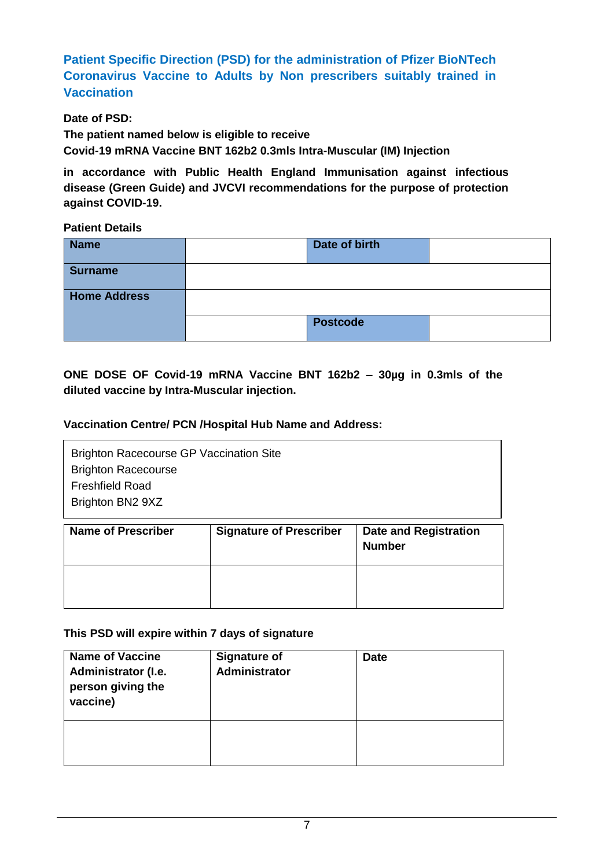**Patient Specific Direction (PSD) for the administration of Pfizer BioNTech Coronavirus Vaccine to Adults by Non prescribers suitably trained in Vaccination**

**Date of PSD:**

**The patient named below is eligible to receive**

**Covid-19 mRNA Vaccine BNT 162b2 0.3mls Intra-Muscular (IM) Injection**

**in accordance with Public Health England Immunisation against infectious disease (Green Guide) and JVCVI recommendations for the purpose of protection against COVID-19.**

**Patient Details**

| <b>Name</b>         | Date of birth   |  |
|---------------------|-----------------|--|
| <b>Surname</b>      |                 |  |
| <b>Home Address</b> |                 |  |
|                     | <b>Postcode</b> |  |

**ONE DOSE OF Covid-19 mRNA Vaccine BNT 162b2 – 30µg in 0.3mls of the diluted vaccine by Intra-Muscular injection.**

# **Vaccination Centre/ PCN /Hospital Hub Name and Address:**

| <b>Brighton Racecourse GP Vaccination Site</b><br><b>Brighton Racecourse</b> |  |
|------------------------------------------------------------------------------|--|
| <b>Freshfield Road</b>                                                       |  |
| Brighton BN2 9XZ                                                             |  |
| . .<br><br>                                                                  |  |

| <b>Name of Prescriber</b> | <b>Signature of Prescriber</b> | <b>Date and Registration</b><br><b>Number</b> |
|---------------------------|--------------------------------|-----------------------------------------------|
|                           |                                |                                               |

# **This PSD will expire within 7 days of signature**

| <b>Name of Vaccine</b><br>Administrator (I.e.<br>person giving the<br>vaccine) | <b>Signature of</b><br>Administrator | <b>Date</b> |
|--------------------------------------------------------------------------------|--------------------------------------|-------------|
|                                                                                |                                      |             |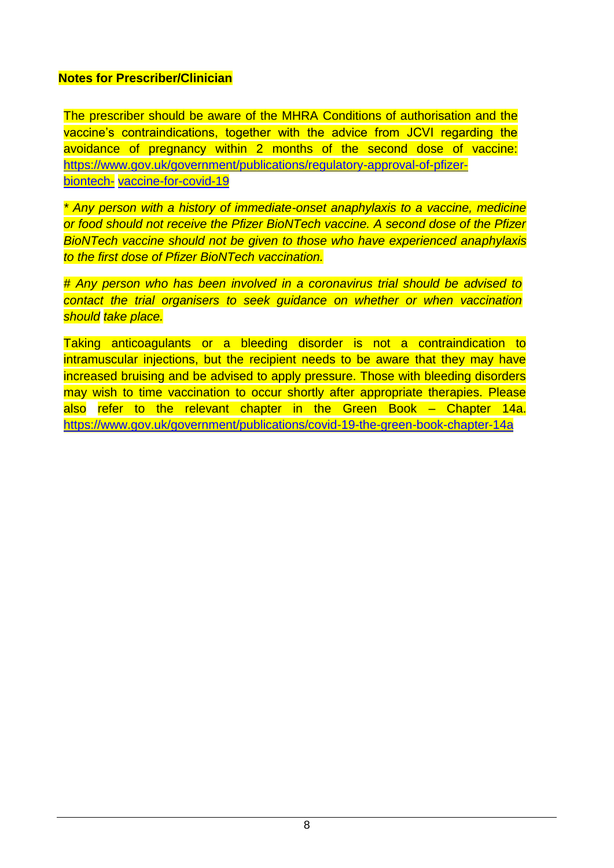# **Notes for Prescriber/Clinician**

The prescriber should be aware of the MHRA Conditions of authorisation and the vaccine's contraindications, together with the advice from JCVI regarding the avoidance of pregnancy within 2 months of the second dose of vaccine: [https://www.gov.uk/government/publications/regulatory-approval-of-pfizer](https://www.gov.uk/government/publications/regulatory-approval-of-pfizer-biontech-vaccine-for-covid-19)[biontech-](https://www.gov.uk/government/publications/regulatory-approval-of-pfizer-biontech-vaccine-for-covid-19) [vaccine-for-covid-19](https://www.gov.uk/government/publications/regulatory-approval-of-pfizer-biontech-vaccine-for-covid-19)

*\* Any person with a history of immediate-onset anaphylaxis to a vaccine, medicine or food should not receive the Pfizer BioNTech vaccine. A second dose of the Pfizer BioNTech vaccine should not be given to those who have experienced anaphylaxis to the first dose of Pfizer BioNTech vaccination.*

*# Any person who has been involved in a coronavirus trial should be advised to contact the trial organisers to seek guidance on whether or when vaccination should take place.*

Taking anticoagulants or a bleeding disorder is not a contraindication to intramuscular injections, but the recipient needs to be aware that they may have increased bruising and be advised to apply pressure. Those with bleeding disorders may wish to time vaccination to occur shortly after appropriate therapies. Please also refer to the relevant chapter in the Green Book – Chapter 14a. <https://www.gov.uk/government/publications/covid-19-the-green-book-chapter-14a>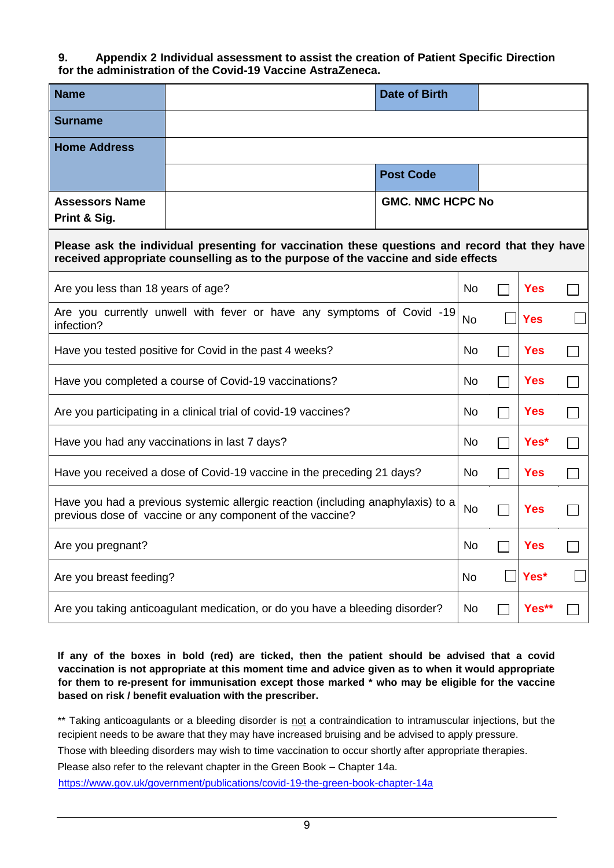#### <span id="page-8-0"></span>**9. Appendix 2 Individual assessment to assist the creation of Patient Specific Direction for the administration of the Covid-19 Vaccine AstraZeneca.**

| <b>Name</b>                                                                         |                                                                                                                                                                                      | <b>Date of Birth</b>    |            |            |  |
|-------------------------------------------------------------------------------------|--------------------------------------------------------------------------------------------------------------------------------------------------------------------------------------|-------------------------|------------|------------|--|
| <b>Surname</b>                                                                      |                                                                                                                                                                                      |                         |            |            |  |
| <b>Home Address</b>                                                                 |                                                                                                                                                                                      |                         |            |            |  |
|                                                                                     |                                                                                                                                                                                      | <b>Post Code</b>        |            |            |  |
| <b>Assessors Name</b><br>Print & Sig.                                               |                                                                                                                                                                                      | <b>GMC. NMC HCPC No</b> |            |            |  |
|                                                                                     | Please ask the individual presenting for vaccination these questions and record that they have<br>received appropriate counselling as to the purpose of the vaccine and side effects |                         |            |            |  |
| Are you less than 18 years of age?                                                  |                                                                                                                                                                                      |                         | No         | <b>Yes</b> |  |
| infection?                                                                          | Are you currently unwell with fever or have any symptoms of Covid -19                                                                                                                |                         | No         | <b>Yes</b> |  |
| Have you tested positive for Covid in the past 4 weeks?                             |                                                                                                                                                                                      |                         | No.        | <b>Yes</b> |  |
| Have you completed a course of Covid-19 vaccinations?<br>No.                        |                                                                                                                                                                                      |                         | <b>Yes</b> |            |  |
| Are you participating in a clinical trial of covid-19 vaccines?<br>No<br><b>Yes</b> |                                                                                                                                                                                      |                         |            |            |  |
|                                                                                     | Have you had any vaccinations in last 7 days?                                                                                                                                        |                         | No         | Yes*       |  |
|                                                                                     | Have you received a dose of Covid-19 vaccine in the preceding 21 days?                                                                                                               |                         | No         | <b>Yes</b> |  |
|                                                                                     | Have you had a previous systemic allergic reaction (including anaphylaxis) to a<br>previous dose of vaccine or any component of the vaccine?                                         |                         | <b>No</b>  | <b>Yes</b> |  |
| Are you pregnant?                                                                   |                                                                                                                                                                                      |                         | No         | Yes        |  |
| Are you breast feeding?                                                             |                                                                                                                                                                                      | No                      | Yes*       |            |  |
|                                                                                     | Are you taking anticoagulant medication, or do you have a bleeding disorder?                                                                                                         |                         |            | Yes**      |  |

**If any of the boxes in bold (red) are ticked, then the patient should be advised that a covid vaccination is not appropriate at this moment time and advice given as to when it would appropriate for them to re-present for immunisation except those marked \* who may be eligible for the vaccine based on risk / benefit evaluation with the prescriber.** 

\*\* Taking anticoagulants or a bleeding disorder is not a contraindication to intramuscular injections, but the recipient needs to be aware that they may have increased bruising and be advised to apply pressure.

Those with bleeding disorders may wish to time vaccination to occur shortly after appropriate therapies.

Please also refer to the relevant chapter in the Green Book – Chapter 14a.

<https://www.gov.uk/government/publications/covid-19-the-green-book-chapter-14a>